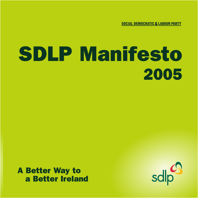**SOCIAL DEMOCRATIC & LABOUR PARTY** 

# SDLP Manifesto 2005

## A Better Way to a Better Ireland

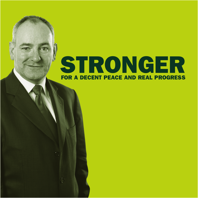## STRONGER FOR A DECENT PEACE AND REAL PROGRESS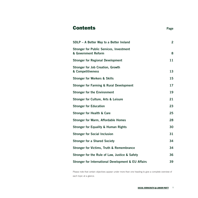## **Contents** Page

| SDLP - A Better Way to a Better Ireland                                | $\overline{2}$ |
|------------------------------------------------------------------------|----------------|
| <b>Stronger for Public Services, Investment</b><br>& Government Reform | 8              |
| <b>Stronger for Regional Development</b>                               | 11             |
| <b>Stronger for Job Creation, Growth</b><br>& Competitiveness          | 13             |
| <b>Stronger for Workers &amp; Skills</b>                               | 15             |
| <b>Stronger for Farming &amp; Rural Development</b>                    | 17             |
| <b>Stronger for the Environment</b>                                    | 19             |
| <b>Stronger for Culture, Arts &amp; Leisure</b>                        | 21             |
| <b>Stronger for Education</b>                                          | 23             |
| <b>Stronger for Health &amp; Care</b>                                  | 25             |
| <b>Stronger for Warm, Affordable Homes</b>                             | 28             |
| <b>Stronger for Equality &amp; Human Rights</b>                        | 30             |
| <b>Stronger for Social Inclusion</b>                                   | 31             |
| <b>Stronger for a Shared Society</b>                                   | 34             |
| <b>Stronger for Victims, Truth &amp; Remembrance</b>                   | 34             |
| Stronger for the Rule of Law, Justice & Safety                         | 36             |
| Stronger for International Development & EU Affairs                    | 39             |

Please note that certain objectives appear under more than one heading to give a complete overview of each topic at a glance.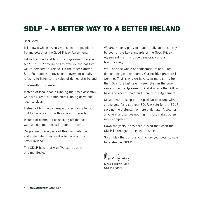## SDLP – A BETTER WAY TO A BETTER IRELAND

Dear Voter,

It is now a whole seven years since the people of Ireland voted for the Good Friday Agreement.

Yet look around and how much agreement do you see? The DUP determined to override the positive will of democratic Ireland. On the other extreme, Sinn Féin and the provisional movement equally refusing to listen to the voice of democratic Ireland.

The result? Suspension.

Instead of local people running their own assembly, we have Direct Rule ministers running down our local services.

Instead of building a prosperous economy for our children – one child in three lives in poverty.

Instead of communities shaking off the past, we have communities still bound in fear.

People are growing sick of this manipulation and stalemate. They want a better way to a better Ireland.

The SDLP have that way. We set it out in this manifesto.

We are the only party to stand totally and positively by both of the key standards of the Good Friday Agreement – an inclusive democracy and a lawful society.

We – and the whole of democratic Ireland – are demanding good standards. Our positive pressure is working. That is why we have seen more shifts from the IRA in the last seven weeks than in the seven years since the Agreement. And it is why the DUP is having to accept more and more of the Agreement.

So we need to keep on the positive pressure, with a strong vote for a stronger SDLP. A vote for the SDLP says no more stunts, no more stalemate. A vote for anyone else changes nothing – it just makes others more complacent.

Down the years it has been proved that when the SDLP is stronger, things get moving.

So on May the 5th use your voice, your vote, to vote for a stronger SDLP.

Mark Durkan MLA SDLP Leader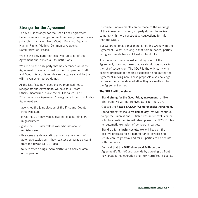#### **Stronger for the Agreement**

The SDLP is stronger for the Good Friday Agreement. Because we are stronger for each and every one of its key principles. Inclusion. North/South. Policing. Equality. Human Rights. Victims. Community relations. Demilitarisation. Peace.

We are the only party that has lived up to all of the Agreement and worked all its institutions.

We are also the only party that has defended all of the Agreement. It was approved by the Irish people, North and South. As a truly republican party, we stand by their will – even when others do not.

At the last Assembly elections we promised not to renegotiate the Agreement. We held to our word. Others, meanwhile, broke theirs. The failed SF/DUP "Comprehensive Agreement" renegotiated the Good Friday Agreement and -

- abolishes the joint election of the First and Deputy First Ministers;
- gives the DUP new vetoes over nationalist ministers in government;
- gives the DUP new vetoes over who nationalist ministers are;
- threatens any democratic party with a new form of automatic exclusion if they register democratic dissent from the flawed SF/DUP deal;
- fails to offer a single extra North/South body or area of cooperation.

Of course, improvements can be made to the workings of the Agreement. Indeed, no party during the review came up with more constructive suggestions for this than the SDLP.

But we are emphatic that there is nothing wrong with the Agreement. What is wrong is that paramilitaries, parties and governments have not lived up to all of it.

Just because others persist in falling short of the Agreement, does not mean that we should stay stuck in the rut of suspension. The SDLP is the only party with positive proposals for ending suspension and getting the Agreement moving now. These proposals also challenge parties in public to show whether they are really up for the Agreement or not.

#### **The SDLP will therefore:**

- · Stand **strong for the Good Friday Agreement**. Unlike Sinn Féin, we will not renegotiate it for the DUP.
- · Oppose the **flawed SF/DUP "Comprehensive Agreement."**
- · Stand strong for **inclusive democracy**. We will continue to oppose unionist and British pressure for exclusion or voluntary coalition. We will also oppose the SF/DUP plan for automatic exclusion of democratic parties.
- · Stand up for a **lawful society**. We will keep on the positive pressure for all paramilitaries, loyalist and republican, to go away and for all parties to co-operate with the police.
- · Demand that the **DUP show good faith** on the Agreement's North/South agenda by agreeing up front new areas for co-operation and new North/South bodies.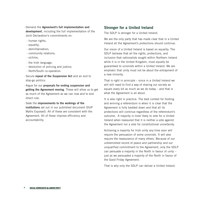- · Demand the **Agreement's full implementation and development**, including the full implementation of the Joint Declaration's commitments on:
	- human rights;
	- equality;
	- demilitarisation;
	- community relations;
	- victims;
	- the Irish language;
	- devolution of policing and justice;
	- North/South co-operation.
- · Secure **repeal of the Suspension Act** and an end to stop-go politics.
- · Argue for our **proposals for ending suspension and getting the Agreement moving**. These will allow us to get as much of the Agreement as we can now and to end direct rule.
- · Seek the **improvements to the workings of the institutions** set out in our published document (DUP Myths Exposed). All of these are consistent with the Agreement. All of these improve efficiency and accountability.

#### **Stronger for a United Ireland**

The SDLP is stronger for a United Ireland.

We are the only party that has made clear that in a United Ireland all the Agreement's protections should continue.

Our vision of a United Ireland is based on equality. The SDLP believes that all the rights, protections, and inclusion that nationalists sought within Northern Ireland while it is in the United Kingdom, must equally be guaranteed to unionists within a United Ireland. We are emphatic that unity must not be about the entrapment of a new minority.

That is right in principle – since in a United Ireland we will still need to find a way of sharing our society as equals every bit as much as we do today – and that is what the Agreement is all about.

It is also right in practice. The best context for holding and winning a referendum is when it is clear that the Agreement is fully bedded down and that all its protections will continue regardless of the referendum's outcome. A majority is most likely to vote for a United Ireland when reassured that it is neither a vote against the Agreement nor a vote for constitutional uncertainty.

Achieving a majority for Irish unity any time soon will require the persuasion of some unionists. It will also require the reassurance of many others. Because of our unblemished record of peace and partnership and our unqualified commitment to the Agreement, only the SDLP can persuade a majority in the North in favour of unity – just as we persuaded a majority of the North in favour of the Good Friday Agreement.

That is why only the SDLP can deliver a United Ireland.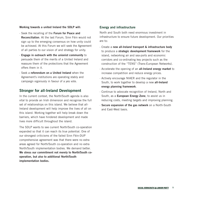#### **Working towards a united Ireland the SDLP will:**

- · Seek the recalling of the **Forum for Peace and Reconciliation**. At the last Forum, Sinn Féin would not sign up to the emerging consensus on how unity could be achieved. At this Forum we will seek the Agreement of all parties to our vision of and strategy for unity.
- · **Engage in outreach with the unionist community** to persuade them of the merits of a United Ireland and reassure them of the protections that the Agreement offers them in it.
- · Seek a **referendum on a United Ireland** when the Agreement's institutions are operating stably and campaign vigorously in favour of a yes vote.

#### **Stronger for all-Ireland Development**

In the current context, the North/South agenda is also vital to provide an Irish dimension and recognise the full set of relationships on this island. We believe that all-Ireland development will help improve the lives of all on this island. Working together will help break down the barriers, which have hindered development and made lives more difficult throughout the island.

The SDLP wants to see current North/South co-operation expanded so that it can reach its true potential. One of our strongest criticisms of the failed Sinn Féin-DUP comprehensive agreement was that there were no extra areas agreed for North/South co-operation and no extra North/South implementation bodies. We demand better. **We stress our commitment not merely to North/South cooperation, but also to additional North/South implementation bodies.**

#### **Energy and infrastructure**

North and South both need enormous investment in infrastructure to ensure future development. Our priorities are to:

- · Create a **new all-Ireland transport & infrastructure body** to produce a **strategic development framework** for the island, networking air and sea-ports and economic corridors and co-ordinating key projects such as the construction of the "TENS" (Trans-European Networks).
- · Accelerate the opening of an **all-Ireland energy market** to increase competition and reduce energy prices.
- · Actively encourage NIAER and the regulator in the South, to work together to develop a new **all-Ireland energy planning framework**.
- · Continue to advocate recognition of Ireland, North and South, as a **European Energy Zone**, to assist us in reducing costs, meeting targets and improving planning.
- · **Secure expansion of the gas network** on a North-South and East-West basis.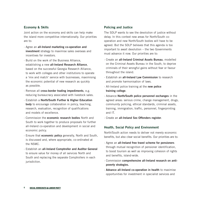#### **Economy & Skills**

Joint action on the economy and skills can help make the island more competitive internationally. Our priorities are to:

- · Agree an **all-Ireland marketing co-operation and investment** strategy to maximise sales overseas and incentives for investors.
- · Build on the work of the Business Alliance, establishing a new **all-Ireland Research Alliance**, based on the successful Georgia Research Alliance, to work with colleges and other institutions to operate a 'mix and match' service with businesses, maximising the economic potential of new research as quickly as possible.
- · Remove all **cross-border trading impediments**, e.g. reducing bureaucracy associated with livestock sales.
- · Establish a **North/South Further & Higher Education body** to encourage collaboration in policy, teaching, research, evaluation, recognition of qualifications and models of excellence.
- · Commission the **economic research bodies** North and South to work together to produce proposals for further all-Ireland co-operation and development in social and economic policy.
- · Ensure that **economic policy** generally, North and South, is discussed and, where appropriate, co-ordinated at the NSMC.
- · Establish an **all-Ireland Comptroller and Auditor General** to ensure value for money of all services North and South and replacing the separate Comptrollers in each jurisdiction.

#### **Policing and Justice**

The SDLP wants to see the devolution of justice without delay. In this context new areas for North/South cooperation and new North/South bodies will have to be agreed. But the SDLP believes that this agenda is too important to await devolution – the two Governments must advance it now. Our priorities are to:

- · Create an **all-Ireland Criminal Assets Bureau**, modelled on the Criminal Assets Bureau in the South, to deprive criminals of their wrongful gains without fear or favour throughout the island.
- · Establish an **all-Ireland Law Commission** to research and promote harmonisation of laws.
- · All-Ireland police training at the **new police training college**.
- · Advance **North/South police personnel exchanges** in the agreed areas: serious crime, change management, drugs, community policing, ethical standards, criminal assets, training, immigration, traffic, personnel, fingerprinting and IT.
- · Create an **all-Ireland Sex Offenders register**.

#### **Health, Social Policy and Environment**

North/South action needs to deliver not merely economic benefits, but also clear social benefits. Our priorities are to:

- · Agree an **all-Ireland free travel scheme for pensioners** through mutual recognition of pensioner identification, to boost tourism as well as improving cohesion of rights and benefits, island-wide.
- · Commission **comprehensive all-Ireland research on antipoverty strategies.**
- · **Advance all-Ireland co-operation in health** to maximise opportunities for investment in specialist services and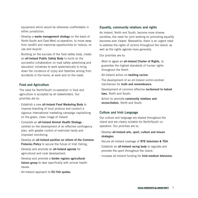equipment which would be otherwise unaffordable in either jurisdiction.

- · Develop a **waste management strategy** on the basis of North-South and East-West co-operation, to move away from landfill and maximise opportunities to 'reduce, reuse and recycle'.
- · Building on the success of the food safety body, create an **all-Ireland Public Safety Body** to build on the successful collaboration on road safety advertising and education initiatives to work systematically to bring down the incidence of injury and fatalities arising from accidents in the home, at work and on the roads.

#### **Food and Agriculture**

The need for North/South co-operation in food and agriculture is accepted by all stakeholders. Our priorities are to:

- · Establish a new **all-Ireland Food Marketing Body** to improve branding of local produce and conduct a vigorous international marketing campaign capitalising on the green, clean image of Ireland
- · Complete an **all-Ireland Animal Health Strategy** centred on the development of an effective contingency plan, with greater control of restricted herds and improved monitoring.
- · Develop an **all-Ireland position on reform of the Common Fisheries Policy** to secure the future of Irish fishing.
- · Develop and promote an **all-Ireland agenda** for agricultural and rural development.
- · Develop and promote a **border regions agricultural liaison group** to deal specifically with animal health issues.
- · All-Ireland approach to **EU fish quotas**.

#### **Equality, community relations and rights**

As Ireland, North and South, become more diverse societies, the need for joint working on promoting equality becomes ever clearer. Meanwhile, there is an urgent need to address the rights of victims throughout the island, as well as the rights agenda more generally.

Our priorities are to:

- · Work to agree an **all-Ireland Charter of Rights**, to guarantee the highest standards of human rights throughout the North.
- · All-Ireland action on **tackling racism**.
- · The development of an all-Ireland victim-centred mechanism for **truth and remembrance**.
- · Development of common effective **incitement to hatred laws**, North and South;
- · Action to promote **community relations and reconciliation**, North and South.

#### **Culture and Irish Language**

Our culture and language are shared throughout the island and are clearly suitable for North/South cooperation. Our priorities are to:

- · Develop **all-Ireland arts, sport, culture and leisure strategies**.
- · Secure all-Ireland coverage of **RTE television & TG4**.
- · Establish an **all-Ireland racing body** to regulate and promote the sport throughout the island.
- · Increase all-Ireland funding for **Irish-medium television**.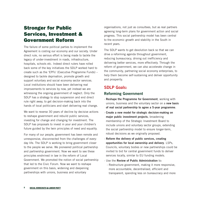## Stronger for Public Services, Investment & Government Reform

The failure of some political parties to implement the Agreement is costing our economy and our society. Under direct rule, no serious effort is being made to tackle the legacy of under-investment in roads, infrastructure, hospitals, schools etc. Indeed direct rulers have rolled back some of the key initiatives the SDLP worked hard to create such as the 'EPFs' (Executive Programme Funds) – designed to tackle deprivation, promote growth and support voluntary and social economy sector services. Local institutions should have been delivering real improvements to services by now, yet instead we are witnessing the ongoing government of neglect. Only the SDLP has a strategy to stop suspension and end direct rule right away, to get decision-making back into the hands of local politicians and start delivering real change.

We want to reverse 30 years of decline by decisive actions to reshape government and rebuild public services, investing for change and changing for investment. The SDLP has proposals to invest in your and your children's future guided by the twin principles of need and equality.

For many of our people, government has been remote and unresponsive, disconnected from the challenges of everyday life. The SDLP is working to bring government closer to the people we serve. We pioneered political partnership and partnership government. Now we want to see these principles enshrined in law in the reform of Local Government. We promoted the notion of social partnership that led to the Civic Forum. Now we want to reshape government on this basis, widening and deepening partnerships with unions, business and voluntary

organisations, not just as consultees, but as real partners agreeing long-term plans for government action and social progress. This social partnership model has been central to the economic growth and stability in the South in recent years.

The SDLP wants to get devolution back so that we can drive a reforming agenda throughout government, reducing bureaucracy, driving out inefficiency and delivering better services, more effectively. Through the reform of government, we can also accelerate change in the community, partnering social economy enterprises, to help them become self-sustaining and deliver opportunity and prosperity.

#### **SDLP Goals:**

#### **Reforming Government**

- · **Reshape the Programme for Government**, working with unions, business and the voluntary sector on a **new basis of real social partnership to agree a 5-year programme**.
- · **Create a new model for strategic decision-making on major public investment projects**, broadening membership of the Strategic Investment Board to include unions and voluntary sector groups, extending the social partnership model to ensure longer-term, robust decisions as we originally proposed.
- · **Reform the delivery of public services, creating opportunities for local ownership and delivery**. LSPs, Councils, voluntary bodies or new partnerships could be invited to bid for central government funds to deliver services locally, similar to EU funding models.
- · Use the **Review of Public Administration** to:
	- Restructure government, making it more responsive, more accountable, decentralised, efficient and transparent, spending less on bureaucracy and more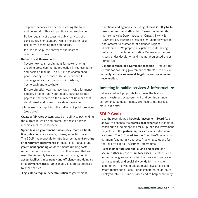on public services and better releasing the talent and potential of those in public sector employment.

- Deliver equality of access to public services of a consistently high standard, while increasing local flexibility in meeting those standards.
- Put partnership (see above) at the heart of reformed structures.

#### · **Reform Local Government:**

- Secure new legal requirement for power-sharing, ensuring cross-community protection in representation and decision-making. The SDLP has championed power-sharing for decades. We will continue to challenge recalcitrant unionism in Lisburn, Castlereagh and elsewhere.
- Ensure effective local representation, value for money, equality of opportunity and quality services for ratepayers in the debate on the number of Councils that should exist and powers they should exercise.
- Increase local input into the delivery of public services (see above).
- · **Create a fair rates system** based on ability to pay, ending the current injustice and protecting those on lower incomes such as pensioners.
- · **Spend less on government bureaucracy, more on frontline public services** – roads, nurses, school-books etc. The SDLP has proposals to introduce **permanent scrutiny of government performance** in meeting set targets, and **government spending** on departments running costs rather than on services. This is another reason that we need the Assembly back in action, improving **public accountability, transparency and efficiency** and doing so on a **permanent basis** rather than a one-off as proposed by other parties.
- · **Legislate to require decentralisation** of government

functions and agencies including at least **2000 jobs to towns across the North** within 5 years, including (but not exclusively) Derry, Strabane, Omagh, Newry & Downpatrick, targeting areas of high unemployment in the systematic promotion of balanced regional development. We propose a legislative route having reflected on the Accommodation Review which moved slowly under devolution and has not progressed under direct rule.

· **Use the leverage of government spending** – through the criteria for awarding government contracts – to achieve **equality and environmental targets** as well as **economic regeneration**.

#### **Investing in public services & infrastructure**

Below we set out proposals to address the historic under-investment by government and continual underperformance by departments. We need to do, not just more, but better.

#### **SDLP Goals:**

- · Use the reconfigured **Strategic Investment Board** (see above) to enhance the **professional expertise** available in considering funding options for all public-led investment projects and the **partnership basis** on which decisions are taken. The SIB to advise the Executive/Assembly on optimum funding mix and best financing solutions for the region's capital investment programme.
- · **Release under-utilised public land and assets** and secure further release of **military bases** – another SDLPled initiative gone awry under direct rule – to generate both **economic and social dividends** for the whole community. This would enable major investment and create thousands of jobs. Funds generated could be redeployed into front-line services and to help community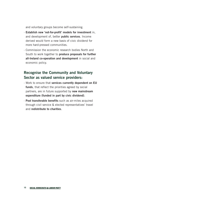and voluntary groups become self-sustaining.

- · **Establish new 'not-for-profit' models for investment** in, and development of, better **public services**. Income derived would form a new basis of civic dividend for more hard-pressed communities.
- · Commission the economic research bodies North and South to work together to **produce proposals for further all-Ireland co-operation and development** in social and economic policy.

#### **Recognise the Community and Voluntary Sector as valued service providers:**

- · Work to ensure that **services currently dependent on EU funds**, that reflect the priorities agreed by social partners, are in future supported by **new mainstream expenditure (funded in part by civic dividend)**.
- · **Pool transferable benefits** such as air-miles acquired through civil service & elected representatives' travel and **redistribute to charities**.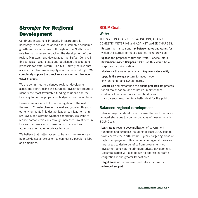## Stronger for Regional Development

Continued investment in quality infrastructure is necessary to achieve balanced and sustainable economic growth and social inclusion throughout the North. Direct rule has had a severe impact on the development of the region. Ministers have downgraded the Belfast-Derry rail line to 'lesser used' status and published unacceptable proposals for water reform. The SDLP firmly believe that access to a clean water supply is a fundamental right. **We completely oppose the direct rule decision to introduce water charges.**

We are committed to balanced regional development across the North, using the Strategic Investment Board to identify the most favourable funding solutions and the best way to deliver projects on budget as well as on time.

However we are mindful of our obligation to the rest of the world. Climate change is a real and growing threat to our environment. This destabilisation can lead to rising sea levels and extreme weather conditions. We want to reduce carbon emissions through increased investment in bus and rail services to make public transport an attractive alternative to private transport.

We believe that better access to transport networks can help tackle social exclusion by connecting people to jobs and amenities.

## **SDLP Goals:**

#### **Water**

THE SDLP IS AGAINST PRIVATISATION, AGAINST DOMESTIC METERING and AGAINST WATER CHARGES.

- · **Restore** the transparent **link between rates and water**, for which the Barnett formula does not make provision.
- · **Oppose** the proposal to turn the Water Service into a **Government-owned Company** (GoCo) as this would be a step towards privatisation.
- · **Modernise** the water service and **improve water quality**.
- · **Upgrade the sewage system** to meet modern environmental and EU standards.
- · **Modernise** and streamline the **public procurement** process for all major capital and structural maintenance contracts to ensure more accountability and transparency, resulting in a better deal for the public.

#### **Balanced regional development**

Balanced regional development across the North requires targeted strategies to counter decades of uneven growth. SDLP Goals:

- · **Legislate to require decentralisation** of government functions and agencies including at least 2000 jobs to towns across the North within 5 years, targeting areas of high unemployment. This can enable regional towns and rural areas to derive benefits from government-led investment and help to stimulate private development. Decentralisation will also be key to addressing traffic congestion in the greater Belfast area.
- · **Target areas** of under-developed infrastructure for **enhanced support**.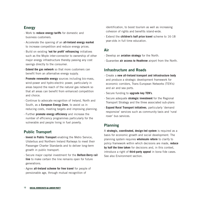#### **Energy**

- · Work to **reduce energy tariffs** for domestic and business customers.
- · Accelerate the opening of an **all-Ireland energy market** to increase competition and reduce energy prices.
- · Build on existing **'not for profit' refinancing** initiatives such as the Moyle inter-connector to ownership of other major energy infrastructure thereby passing any cost savings directly to the consumer.
- · **Extend the gas network** so that more customers can benefit from an alternative energy supply.
- · **Promote renewable energy** sources including bio-mass, wind-power and hydro-electric power, particularly in areas beyond the reach of the natural gas network so that all areas can benefit from enhanced competition and choice.
- · Continue to advocate recognition of Ireland, North and South, as a **European Energy Zone**, to assist us in reducing costs, meeting targets and improving planning.
- · Further **promote energy efficiency** and increase the number of efficiency programmes particularly for the vulnerable and people living in fuel poverty.

#### **Public Transport**

- · **Invest in Public Transport** enabling the Metro Service, Ulsterbus and Northern Ireland Railways to meet their Passenger Charter Standards and to deliver long-term growth in public transport.
- · Secure major capital investment for the **Belfast-Derry rail line** to make certain the line remains open for future generations.
- · Agree **all-Ireland scheme for free travel** for people of pensionable age, through mutual recognition of

identification, to boost tourism as well as increasing cohesion of rights and benefits island-wide.

· Extend the **children's half price travel** scheme to 16-18 year-olds in full time education.

#### **Air**

- · Develop an **aviation strategy** for the North.
- · Guarantee **air access to Heathrow** airport from the North.

#### **Infrastructure and Roads**

- · Create a **new all-Ireland transport and infrastructure body** and produce a strategic development framework for economic corridors, Trans European Networks (TEN's) and air and sea ports.
- · Secure funding to **upgrade key TEN's**.
- · Secure adequate **strategic investment** for the Regional Transport Strategy and the three associated sub-plans
- · **Expand Rural Transport initiatives**, particularly 'demand responsive' services such as community taxis and 'rural rover' bus services.

#### **Planning**

A **strategic, coordinated, design-led system** is required as a basis for economic growth and social development. The planning system requires **wholesale reform** to clarify to policy framework within which decisions are made, **reduce by half the time taken** for decisions and, in this context, introduce a right of **third-party appeal** in bona fide cases. See also Environment section.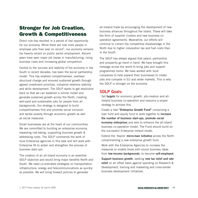## Stronger for Job Creation, Growth & Competitiveness

Direct rule has resulted in a period of lost opportunity for our economy. While there are now more people in employee jobs than ever on record<sup>1</sup>, our economy remains too heavily reliant on public sector employment. Recent years have seen major job losses in manufacturing, rising business costs and increasing global competition.

Central to the success and stability of the economy in the South in recent decades, has been the social partnership model. This has enabled competitiveness, overseen structural change and ensured sustained growth through agreed investment priorities, industrial relations stability and skills development. The SDLP wants to get devolution back so that we can establish a similar model and generate sustained growth across the North, creating well-paid and sustainable jobs for people from all backgrounds. Our strategy is designed to build competitiveness first and promote social inclusion and tackle poverty through economic growth as well as social measures.

Small businesses are at the heart of our communities. We are committed to building an enterprise economy, rewarding risk-taking, supporting business growth & addressing costs. The SDLP commends the work of local Enterprise agencies in this task and will work with Enterprise NI to widen and strengthen the process of business start-ups.

The creation of an all-island economy is an essential SDLP objective and would bring major benefits North and South. We need co-ordinated strategies on transportation infrastructure, energy and telecommunications as quickly as possible. We will bring forward policies to generate

all-Ireland trade by encouraging the development of new business alliances throughout the island. These will take the form of supplier clusters and new business cooperation agreements. Meanwhile, our efforts will continue to correct the competitive disadvantage in the North due to higher corporation tax and fuel costs than in the South.

The SDLP has always argued that peace, partnership and prosperity go hand in hand. We have brought this message across the world to bring jobs and support programmes home. We have worked with local companies to help expand their businesses to create jobs and compete in EU and wider markets. This is why the SDLP is stronger on the economy.

#### **SDLP Goals:**

- · Set **targets** for economic growth, job-creation and all-Ireland business co-operation and resource a proper strategy to achieve this.
- · Create a new **"Enterprise Growth Fund"** comprising a loan fund and equity fund to work together to **increase the number of business start-ups, promote social economy enterprises** and also to enhance the all-island business co-operation model. The Fund should build on the successful Enterprise Ireland model.
- · Extend the 'Aspire' **micro-loan initiative** across the North complimenting a new enterprise growth fund.
- · Work with the Enterprise Agencies to increase the measures to enable those with sound business ideas from **low-income backgrounds**, to become **self-employed**.
- · **Support business growth**, seeking **new tax relief and rate relief** on an offset basis against spending on Research & Development, training and marketing and cross-border business development initiatives.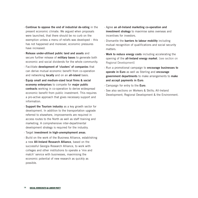- · **Continue to oppose the end of industrial de-rating** in the present economic climate. We argued when proposals were launched, that there should be no curb on the exemption unless a menu of reliefs was developed – this has not happened and moreover, economic pressures have increased.
- · **Release under-utilised public land and assets** and secure further release of **military bases** to generate both economic and social dividends for the whole community.
- · Facilitate **development of 'clusters' of companies** that can derive mutual economic benefit from co-operation and networking **locally** and on an **all-island** basis.
- · **Equip small and medium-sized local firms & social economy enterprises** to compete for **major public contracts** working in co-operation to derive widespread economic benefit from public investment. This requires a pro-active approach that gives necessary support and information.
- · **Support the Tourism industry** as a key growth sector for development. In addition to the transportation upgrade referred to elsewhere, improvements are required in access routes to the North as well as staff training and marketing. A comprehensive inter-departmental development strategy is required for the industry.
- · Target **investment in high-unemployment areas**.
- · Build on the work of the Business Alliance, establishing a new **All-Ireland Research Alliance**, based on the successful Georgia Research Alliance, to work with colleges and other institutions to operate a 'mix and match' service with businesses, maximising the economic potential of new research as quickly as possible.
- · Agree **an all-Ireland marketing co-operation and investment strategy** to maximise sales overseas and incentives for investors.
- · Dismantle the **barriers to labour mobility** including mutual recognition of qualifications and social security matters.
- · **Work to reduce energy costs** including accelerating the opening of the **all-Ireland energy market**. [see section on Regional Development]
- · Run a promotional campaign to **encourage businesses to operate in Euro** as well as Sterling and **encourage government departments** to make arrangements to **make and accept payments in Euro**.
- · Campaign for entry to the **Euro**.
- · See also sections on Workers & Skills; All-Ireland Development; Regional Development & the Environment.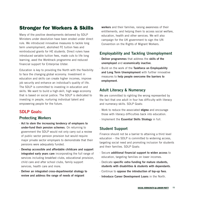## Stronger for Workers & Skills

Many of the positive developments delivered by SDLP Ministers under devolution have been eroded under direct rule. We introduced innovative measures to tackle long term unemployment, abolished FE tuition fees and reintroduced grants for HE students. Direct rulers have introduced variable tuition fees, made cuts to life long learning, axed the Worktrack programme and reduced financial support for Enterprise Ulster.

Education is key to providing the North with the flexibility to face the changing global economy. Investment in education and skills can create higher incomes, improve job security and enhance an individual's quality of life. The SDLP is committed to investing in education and skills. We want to build a high-skill, high wage economy that is based on social justice. The SDLP is dedicated to investing in people, nurturing individual talent and empowering people for the future.

#### **SDLP Goals:**

#### **Protecting Workers**

- · **Act to stem the increasing tendency of employers to under-fund their pension schemes**. On returning to government the SDLP would not only carry out a review of public sector pension provision but would require major private sector employers to demonstrate that their pensions were adequately funded.
- · **Develop accessible and affordable childcare and support integrated early years care** incorporating the full range of services including breakfast clubs, educational provision, child care and after school clubs, family support services, health care and more.
- · **Deliver an integrated cross-departmental strategy to review and address the range of needs of migrant**

**workers** and their families, raising awareness of their entitlements, and helping them to access social welfare, education, health and other services. We will also campaign for the UK government to sign the UN Convention on the Rights of Migrant Workers.

#### **Employability and Tackling Unemployment**

- · **Deliver programmes** that address the **skills of the unemployed** and **economically inactive**.
- · Build on the work of the **Taskforce on Employability and Long Term Unemployment** with further innovative measures to **help people overcome the barriers to employment**.

#### **Adult Literacy & Numeracy**

We are committed to righting the wrong represented by the fact that one adult in four has difficulty with literacy and numeracy skills. SDLP Goals:

- · Work to reduce the associated **stigma** and encourage those with literacy difficulties back into education.
- · Implement the **Essential Skills Strategy** in full.

#### **Student Support**

Finance should not be a barrier to attaining a third level education – the SDLP is committed to widening access, targeting social need and promoting inclusion for students and their families. SDLP Goals:

- · Secure **additional financial support to widen access** to education, targeting families on lower incomes.
- · Dedicate **specific extra funding for mature students, students with disabilities & students with dependants**.
- · Continue to **oppose the introduction of top-up fees**.
- · **Introduce Career Development Loans** in the North.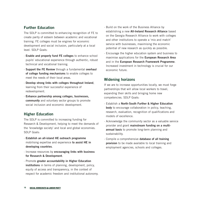#### **Further Education**

The SDLP is committed to enhancing recognition of FE to create parity of esteem between academic and vocational training. FE colleges must be engines for economic development and social inclusion, particularly at a local level. SDLP Goals:

- · **Enable and properly fund FE colleges** to enhance school pupils' educational experience through authentic, robust technical and vocational training.
- **Support the FE Review** through a fundamental **overhaul of college funding mechanisms** to enable colleges to meet the needs of their local areas.
- · **Develop strong links with colleges throughout Ireland**, learning from their successful experience of redevelopment.
- · **Enhance partnership among colleges, businesses, community** and voluntary sector groups to promote social inclusion and economic development.

#### **Higher Education**

The SDLP is committed to increasing funding for Research & Development, helping to meet the demands of the 'knowledge society' and local and global economies. SDLP Goals:

- · **Establish an all-island HE outreach programme** mobilising expertise and experience **to assist HE in developing countries**.
- · Increase resources by **encouraging links with business for Research & Development**.
- · Promote **greater accountability in Higher Education institutions** in terms of planning, development, policy, equity of access and transparency, in the context of respect for academic freedom and institutional autonomy.
- · Build on the work of the Business Alliance by establishing a new **All-Ireland Research Alliance** based on the Georgia Research Alliance to work with colleges and other institutions to operate a 'mix and match' service with businesses, maximising the economic potential of new research as quickly as possible.
- · Encourage the higher education system and business to maximise applications for the **European Research Area** and in the **European Research Framework Programme**. Increased investment in technology is crucial for our economic future.

#### **Widening horizons**

If we are to increase opportunities locally, we must forge partnerships that will allow local workers to travel, expanding their skills and bringing home new competencies. SDLP Goals:

- · Establish a **North-South Further & Higher Education body** to encourage collaboration in policy, teaching, research, evaluation, recognition of qualifications and models of excellence.
- · Acknowledge the community sector as a valuable service provider and grant **mainstream funding on a multiannual basis** to promote long-term planning and sustainability.
- · Compile a comprehensive **database of all training provision** to be made available to local training and employment agencies, schools and colleges.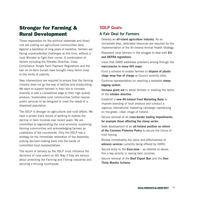## Stronger for Farming & Rural Development

Those responsible for the political stalemate and direct rule are costing our agricultural communities daily. Against a backdrop of long years of hardship, farmers are facing unprecedented challenges at this time, without a local Minister to fight their corner. A combination of factors including the Nitrates Directive, Cross Compliance, Single Farm Payment Regulations and the ban on on-farm burials have brought many farms close to the limits of viability.

New interventions are required to ensure that the farming industry does not go the way of textiles and shipbuilding. We want to support farmers in their bid to innovate, diversify or add a competitive edge to their high quality produce. Sustainable rural communities further require public services to be designed to meet the needs of a dispersed population.

The SDLP is stronger on agricultural and rural affairs. We have a proven track record of working to redress the decline in farm incomes over recent years. We are committed to regenerating the rural economy, sustaining farming communities and acknowledging farmers as custodians of the countryside. Only the SDLP has a strategy for the immediate restoration of the Assembly, putting decision-making back into the hands of committed local representatives.

The record of delivery by the SDLP must influence the decisions of rural voters on 5th May if they are serious about protecting the Farming and Fishing industries and securing a thriving countryside.

#### **SDLP Goals:**

#### **A Fair Deal for Farmers**

- · Develop an **all-island agriculture industry**. As an immediate step, dedicated resources are required for the implementation of the All-Ireland Animal Health Strategy.
- · Represent local farmers in the struggle to deal with **EU and DEFRA regulations**.
- · Insist that DARD addresses problems arising through the **inaccuracies in many GIS maps**.
- · Fund a scheme to enable farmers to **dispose of plastic silage wrap free of charge** at Council amenity sites.
- · Continue representation on reaching a workable **sheep tagging system**.
- · **Increase grant aid** to assist farmers in meeting the terms of the **nitrates directive**.
- · Establish a **new All-Ireland Food Marketing Body** to improve branding of local produce and conduct a vigorous international marketing campaign capitalising on the green, clean image of Ireland.
- · Secure removal of all **cross-border trading impediments, for example those affecting the sheep sector**.
- · Seek development of an **all-Ireland position on reform of the Common Fisheries Policy** to secure the future of Irish fishing.
- · Review immediately the value and effectiveness of **advisory services** currently being offered by DARD.
- · Secure entry to the **Euro-zone** as referred to above, this a key priority in raising farm incomes.
- · Secure removal of the **Beef Export Ban** and the **Over Thirty Months Scheme**.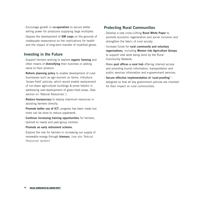- · Encourage growth in **co-operatives** to secure better selling power for producers supplying large multiples.
- · Oppose the development of **GM crops** on the grounds of inadequate reassurance on the implications for health and the impact of long-term transfer of modified genes.

#### **Investing in the Future**

- · Support farmers wishing to explore **organic farming** and other means of **diversifying** their business or adding value to their produce.
- · **Reform planning policy** to enable development of rural businesses such as agri-tourism on farms. Introduce 'brown-field' policies, which would enable replacement of run-down agricultural buildings & prove helpful in addressing over-development of green-field areas. [See section on 'Natural Resources'.]
- · **Reduce bureaucracy** to deploy maximum resources in assisting farmers directly.
- · **Promote better use of ICT**; progress has been made but more can be done to reduce paperwork.
- · **Continue increasing training opportunities** for farmers, tailored to needs and peer-group centred.
- · **Promote an early retirement scheme.**
- · Explore the role for farmers in increasing our supply of renewable energy through **biomass**. [see also 'Natural Resources' section]

#### **Protecting Rural Communities**

- · Develop a new cross-cutting **Rural White Paper** to promote economic regeneration and social inclusion and strengthen the fabric of rural society.
- · Increase funds for **rural community and voluntary organisations**, including **Women into Agriculture Groups** to support vital work being done by the Rural Community Network.
- · Make **post offices a rural hub** offering internet access and providing tourist information, transportation and public services information and e-government services.
- · **Secure effective implementation of 'rural-proofing'** designed so that all key government policies are checked for their impact on rural communities.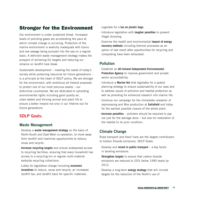## Stronger for the Environment

Our environment is under sustained threat. Increased levels of polluting gases are accelerating the pace at which climate change is occurring. Protection of the marine environment is woefully inadequate with toxins and raw sewage being pumped into the sea on a regular basis. A deficient waste management strategy makes the prospect of achieving EU targets and reducing our reliance on landfill look bleak.

Sustainable development – meeting the needs of today's society while protecting resources for future generations – is a principle at the heart of SDLP policy. We are stronger for the environment, with ambitious all-Ireland proposals to protect one of our most precious assets – our distinctive countryside. We are dedicated to upholding environmental rights including good quality air, clean waters and thriving animal and plant life to ensure a better Ireland not only in our lifetime but for future generations.

## **SDLP Goals:**

#### **Waste Management**

- · Develop a **waste management strategy** on the basis of North-South and East-West co-operation, to move away from landfill and maximise opportunities to reduce, reuse and recycle.
- · **Increase recycling targets** and ensure widespread access to recycling facilities, ensuring that every household has access to a recycling bin or regular multi-material kerbside recycling collections.
- · Lobby for legislative change including **economic incentives** to reduce, reuse and recycle; an increased landfill tax; and landfill bans for specific materials.
- · Legislate for a **tax on plastic bags**.
- · Introduce legislation with **tougher penalties** to prevent illegal dumping.
- · Examine the health and environmental **impact of energy recovery methods** including thermal processes as an option of last resort after opportunities for recycling and composting have been exhausted.

#### **Pollution**

- · Establish an **All-Ireland Independent Environmental Protection Agency** to improve government and private sector accountability.
- · Introduce a **Marine Act** that legislates for a spatial planning strategy to ensure sustainability of our seas and to address issues of pollution and habitat protection as well as providing for enhanced research into marine life.
- · Continue our campaign for the immediate cessation of reprocessing and Mox production at **Sellafield** and lobby for the earliest possible closure of the whole plant.
- · **Increase penalties** polluters should be required to pay not just for the damage done – but also for restoration of the habitat to its prior condition.

#### **Climate Change**

Road transport and fossil fuels are the largest contributors to Carbon Dioxide emissions. SDLP Goals:

- · Develop and **invest in public transport** a key factor in tackling emissions.
- · **Strengthen targets** to ensure that carbon dioxide emissions are reduced to 20% below 1990 levels by 2012.
- · Develop a long-term **energy strategy** that will include targets for the reduction of the North's use of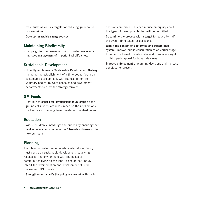fossil fuels as well as targets for reducing greenhouse gas emissions.

· Develop **renewable energy** sources.

#### **Maintaining Biodiversity**

· Campaign for the provision of appropriate **resources** an improved **management** of important wildlife sites.

#### **Sustainable Development**

· Urgently implement a Sustainable Development **Strategy** including the establishment of a time-bound forum on sustainable development, with representation from voluntary bodies, relevant agencies and government departments to drive the strategy forward.

#### **GM Foods**

· Continue to **oppose the development of GM crops** on the grounds of inadequate reassurance on the implications for health and the long term transfer of modified genes.

#### **Education**

· Widen children's knowledge and outlook by ensuring that **outdoor education** is included in **Citizenship classes** in the new curriculum.

#### **Planning**

The planning system requires wholesale reform. Policy must centre on sustainable development, balancing respect for the environment with the needs of communities living on the land. It should not unduly inhibit the diversification and development of rural businesses. SDLP Goals:

· **Strengthen and clarify the policy framework** within which

decisions are made. This can reduce ambiguity about the types of developments that will be permitted.

- · **Streamline the process** with a target to reduce by half the overall time taken for decisions.
- · **Within the context of a reformed and streamlined system**, improve public consultation at an earlier stage to minimise formal disputes later and introduce a right of third party appeal for bona fide cases.
- · **Improve enforcement** of planning decisions and increase penalties for breach.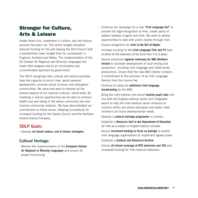## Stronger for Culture, Arts & Leisure

Under direct rule, investment in culture, arts and leisure pursuits has been cut. The recent budget allocation reduced funding for the arts leaving the Arts Council with a substantially lower budget than its counterparts in England, Scotland and Wales. The implementation of the EU Charter for Regional and Minority Languages has made little progress due to an inconsistent and uncoordinated approach by government.

The SDLP recognises that cultural and leisure activities have the capacity to enrich lives, assist personal development, promote social inclusion and strengthen communities. We value and want to develop all the diverse aspects of our national cultures, island-wide. By investing in leisure opportunities we are able to enhance health and well-being of the whole community and also improve community relations. We have demonstrated our commitment on these issues, lobbying successfully for increased funding for the Sports Council and the Northern Ireland Events Company.

#### **SDLP Goals:**

· Develop **all-island culture, arts & leisure strategies**.

#### **Cultural Heritage:**

· Monitor the implementation of the **European Charter for Regional or Minority Languages** and ensure its proper functioning.

- · Continue our campaign for a new **"Irish Language Act"** to provide full legal recognition to Irish, create parity of esteem between English and Irish. We want to extend opportunities to deal with public bodies through Irish.
- · Ensure recognition for **Irish in the Bill of Rights**.
- · Increase funding for the **Irish Language Film and TV** fund to allow for the extension of the fund from 3 to 5 years.
- · Secure enhanced **regional autonomy for BBC Northern Ireland** to facilitate development of local writing and production, including Irish language and Ulster-Scots productions. Ensure that the new BBC Charter contains a commitment to the provision of an Irish Language Service from the licence fee.
- · Continue to lobby for **additional Irish language broadcasting** by the BBC.
- · Bring the Irish-medium pre-school **teacher-pupil ratio** into line with the English-medium sector and Integrated sector to help the Irish-medium sector enhance its function within pre-school education and better meet children's all round developmental needs.
- · Develop a **cultural heritage programme** in schools.
- · Establish a **Resource Unit in the Department of Education** for Irish as a subject in English-medium schools.
- · Secure **increased funding to Foras na Gaeilge** to enable Irish language organisations to implement agreed plans.
- · Establish a **Cultural and Historical Archive**.
- · Ensure **all-island coverage of RTE television and TG4** and increased funding for Irish medium television.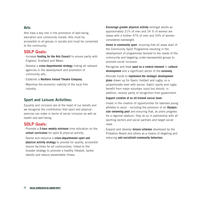#### **Arts**

Arts have a key role in the promotion of well-being, education and community morale. Arts must be accessible to all groups in society and must be connected to the community.

#### **SDLP Goals:**

- · Increase **funding for the Arts Council** to ensure parity with England, Scotland and Wales.
- · Develop a **cross-departmental strategy** linking all relevant agencies in the development and promotion of community arts.
- · Establish a **Northern Ireland Theatre Company**.
- · Maximise the economic viability of the local film industry.

#### **Sport and Leisure Activities:**

Equality and inclusion are at the heart of our beliefs and we recognise the contribution that sport and physical exercise can make in terms of social inclusion as well as health and well-being.

#### **SDLP Goals:**

- · Promote a **2-hour weekly minimum** time allocation on the school curriculum for sport & physical activity.
- · Devise and resource a **cross-departmental sport and physical activity strategy** to provide for quality, accessible leisure facilities for all communities, linked to the broader strategy to promote a healthy lifestyle, tackle obesity and reduce preventable illness.
- · **Encourage greater physical activity** amongst adults as approximately 21% of men and 24 % of women are obese with a further 47% of men and 33% of women considered overweight.
- · **Invest in community sport**, ensuring that all areas avail of the Community Sport Programme resulting in the development of programmes tailored to the needs of the community and targeting under-represented groups to promote social inclusion.
- · Recognise and treat **sport as a central element** in **cultural development** and a significant sector of the **economy**.
- · Allocate funds to **implement the strategic development plans** drawn up for Gaelic football and rugby, on a proportionate level with soccer. Gaelic sports and rugby benefit from major voluntary input but should, in addition, receive parity of recognition from government.
- · **Support creation of an all-Ireland soccer team**.
- · Invest in the creation of opportunities for talented young athletes to excel - including the provision of an **Olympicsize swimming pool** and ensuring that, as plans progress for a regional stadium, they do so in partnership with all sporting sectors and social partners and target social need.
- · Expand and develop **leisure schemes** developed by the Probation Board and others as a means of targeting and reducing **anti-social/anti-community behaviour**.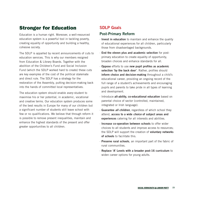## Stronger for Education

Education is a human right. Moreover, a well-resourced education system is a powerful tool in tackling poverty, creating equality of opportunity and building a healthy, cohesive society.

The SDLP is appalled by recent announcements of cuts to education services. This is why our members resigned from Education & Library Boards. Together with the abolition of the Children's Fund and Social Inclusion Fund (which the SDLP worked hard to create) these cuts are key examples of the cost of the political stalemate and direct rule. The SDLP has a strategy for the restoration of the Assembly, putting decision-making back into the hands of committed local representatives.

The education system should enable *every* student to maximise his or her potential, in academic, vocational and creative terms. Our education system produces some of the best results in Europe for many of our children but a significant number of students still leave school with few or no qualifications. We believe that through reform it is possible to remove present inequalities, maintain and enhance the highest standards of the present and offer greater opportunities to all children.

#### **SDLP Goals**

#### **Post-Primary Reform**

- · **Invest in education** to maintain and enhance the quality of educational experiences for all children, particularly those from disadvantaged backgrounds.
- · **End the eleven plus and academic selection** for postprimary education to create equality of opportunity, broaden choices and enhance standards for all.
- · **Oppose** efforts to use **new pupil profiles as academic selection 'by the back door'**. Rather, profiles should **inform choice and decision-making** throughout a child's educational career, providing an ongoing record of the full range of a student's achievements and encouraging pupils and parents to take pride in all types of learning and development.
- · Introduce **all-ability, co-educational education** based on parental choice of sector (controlled, maintained, integrated or Irish language).
- · **Guarantee** *all children*, regardless of which school they attend, **access to a wide** *choice* **of subject areas and experiences** catering for all interests and abilities.
- · **Increase co-operation between schools** to offer wider choices to all students and improve access to resources; the SDLP will support the creation of **voluntary networks of schools** to facilitate this.
- · **Preserve rural schools**, an important part of the fabric of rural communities.
- · **Replace 'A' Levels with a broader post-16 curriculum** to widen career options for young adults.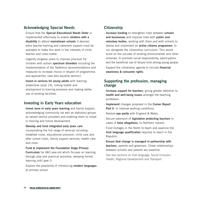#### **Acknowledging Special Needs**

- · Ensure that the **Special Educational Needs Order** is implemented effectively to enable **children with a disability** to attend **mainstream schools** if desired; extra teacher-training and classroom support must be available to make this work in the interests of child, teacher and class-mates.
- · Urgently progress plans to improve provision for children with autism **spectrum disorders** including the implementation of the Taskforce recommendations and measures to increase choice in respect of programmes and approaches. [see also equality section]
- · **Invest in services for young adults** with learning disabilities (post 19), linking health and employment to training provision and making better use of existing facilities.

#### **Investing in Early Years education**

- · **Invest more in early years learning** and family support, acknowledging community (as well as statutory) groups as valued service providers and enabling them to invest in training and future development.
- · **Develop and fund integrated early years care** incorporating the full range of services including breakfast clubs, educational provision, child care and after school clubs, family support services, health care and more.
- · **Fund & implement the Foundation Stage Primary Curriculum** for 4&5 year-old which focuses on learning through play and practical activities, delaying formal learning until year 3.
- · Explore the possibility of introducing **modern languages** at primary school.

#### **Citizenship**

- · **Increase funding** to strengthen links between **schools and businesses** and improve links with **public and voluntary bodies**, working with them and with schools to devise and implement an **active citizens programme**, to run alongside the citizenship curriculum. This would build on the success of existing environmental and other schemes, to promote social responsibility, participation and the beneficial use of leisure time among young people.
- · Expand the citizenship agenda to include **financial awareness & consumer rights**.

#### **Supporting the profession, managing change**

- · **Increase support for teachers**, giving greater attention to **health and well-being issues** amongst the teaching profession.
- · **Implement** changes proposed in the **Curran Report Part II**, to improve working conditions.
- · Restore **pay parity** with England & Wales.
- · Secure extension of **legislation protecting teachers** in cases of **false allegations**, to Northern Ireland.
- · Fund Colleges in the North to teach and examine the **Irish language qualification** required to teach in the Republic.
- · **Ensure that change is managed in partnership with teachers**, parents and governors. Closer relationships between schools and parents are essential.

See also sections on Irish language, Social Inclusion, Health, Regional Development and Transport.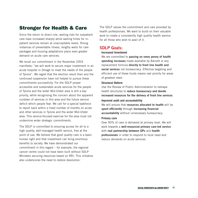## Stronger for Health & Care

Since the return to direct rule, waiting lists for outpatient care have increased sharply while waiting times for inpatient services remain at unacceptable levels. Rising instances of preventable illness, lengthy waits for care packages and housing adaptations place even greater demand on acute care services.

We recall our commitment in the November 2003 manifesto: "we will work to secure major investment in an acute hospital in Omagh to meet the needs of the people of Tyrone". We regret that the election result then and the continued suspension have not helped to pursue these commitments successfully. For the SDLP proper accessible and sustainable acute services for the people of Tyrone and the wider Mid-Ulster area is still a key priority, while recognising the concern about the apparent rundown of services in this area and the future service deficit which people fear. We call for a special taskforce to report back within a fixed number of months on acute and other services in Tyrone and the wider Mid-Ulster area. This service-focused exercise for the area must not undermine wider strategic commitments.

The SDLP is committed to ensuring access for all to a high quality, well-managed health service, free at the point of use. We believe that good quality care is a basic human right and that investment can bring enormous benefits to society. We have demonstrated our commitment in this regard – for example, the regional cancer centre could not have been built without SDLP Ministers securing resources based on RRI. This initiative also underscores the need to restore devolution.

The SDLP values the commitment and care provided by health professionals. We want to build on their valuable work to create a consistently high quality health service for all those who wish to avail of it.

#### **SDLP Goals:**

#### · **Increased Investment**

We are committed to **passing on every penny of health spending increases** made available by Barnett or any replacement formula **directly to front line health and social services** not bureaucracy. Effective targeting and efficient use of these funds means real priority for areas of greatest need.

· **Structural Reform**

Use the Review of Public Administration to reshape health structures to **reduce bureaucracy and devote increased resources for the delivery of front line services**.

#### · **Improved audit and accountability**

We will ensure that **resources allocated to health** will be **spent efficiently** through **increasing financial accountability** without unnecessary bureaucracy.

· **Primary care**

Over 90% of care is delivered at primary level. We will work towards a **well-resourced primary care-led service** with **real partnership between GPs** and **health professionals** in order to respond to local need and reduce demands on acute services.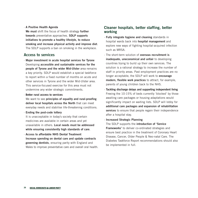#### · **A Positive Health Agenda**

**We must** shift the focus of health strategy **further towards** preventative approaches. **SDLP supports initiatives to promote a healthy lifestyle, to reduce smoking and increase physical activity and improve diet**. The SDLP supports a ban on smoking in the workplace.

#### **Access to services**

- · **Major investment in acute hospital services for Tyrone** Developing **accessible and sustainable services for the people of Tyrone and the wider Mid-Ulster** area remains a key priority. SDLP would establish a special taskforce to report within a fixed number of months on acute and other services in Tyrone and the wider Mid-Ulster area. This service-focused exercise for this area must not undermine any wider strategic commitments.
- · **Better rural access to services**

We want to see **principles of equality and rural-proofing deliver local hospitals across the North** that can meet everyday needs and stabilise life-threatening conditions.

· **Ending the post-code lottery**

It is unacceptable in today's society that certain medicines are available in certain areas and yet unavailable in others. **Local needs must be addressed while ensuring consistently high standards of care**.

· **Access to affordable NHS Dental Treatment Increase spending on dental care and update contracts governing dentists**, ensuring parity with England and Wales to improve preventative care and overall oral health.

#### **Cleaner hospitals, better staffing, better working**

- · **Fully integrate hygiene and cleaning** standards in hospital wards back into **hospital management** and explore new ways of fighting hospital-acquired infection such as MRSA.
- · The short-term solution of **overseas recruitment is inadequate, uneconomical and unfair** to developing countries trying to build up their own services. The solution is a rational strategy to increase the number of staff in priority areas. Past employment practices are no longer acceptable; the SDLP will work to **encourage modern, flexible work practices** to attract, for example, parents of young children back to the NHS.
- · **Tackling discharge delays and supporting independent living** Freeing the 10-15% of beds currently 'blocked' by those awaiting care packages or housing adaptations would significantly impact on waiting lists. SDLP will lobby for **additional care packages and expansion of rehabilitation services** to ensure that people regain their independence after a hospital stay.
- · **Increased Strategic Planning**

The SDLP supports the **introduction of 'Service Frameworks'** to deliver co-ordinated strategies and ensure best practice in the treatment of Coronary Heart Disease, Cancer, Older People & Neo-natal Care. The Diabetes Taskforce Report recommendations should also be implemented in full.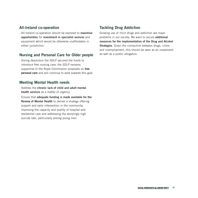#### **All-Ireland co-operation**

· All-Ireland co-operation should be explored to **maximise opportunities** for **investment in specialist services** and equipment which would be otherwise unaffordable in either jurisdiction.

#### **Nursing and Personal Care for Older people**

· During devolution the SDLP secured the funds to introduce free nursing care; the SDLP remains supportive of the Royal Commission proposals on **free personal care** and will continue to work towards this goal.

#### **Meeting Mental Health needs**

- · Address the **chronic lack of child and adult mental health services** as a matter of urgency.
- · Ensure that **adequate funding is made available for the Review of Mental Health** to deliver a strategy offering support and early intervention in the community, improving the capacity and quality of hospital and residential care and addressing the worryingly high suicide rate, particularly among young men.

#### **Tackling Drug Addiction**

Growing use of illicit drugs and addiction are major problems in our society. We want to secure **additional resources for the implementation of the Drug and Alcohol Strategies**. Given the connection between drugs, crime and unemployment, this should be seen as an investment as well as a public obligation.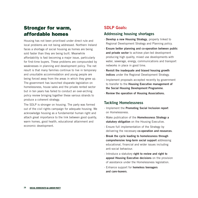## Stronger for warm, affordable homes

Housing has not been prioritised under direct rule and local problems are not being addressed. Northern Ireland faces a shortage of social housing as homes are being sold faster than they are being built. Meanwhile affordability is fast becoming a major issue, particularly for first-time buyers. These problems are compounded by weaknesses in planning and development policy. The net result is that many families continue to live in temporary and unsuitable accommodation and young people are being forced away from the areas in which they grew up. The government has launched disparate legislation on homelessness, house sales and the private rented sector but in ten years has failed to conduct an over-arching policy review bringing together these various strands to produce a coherent strategy.

The SDLP is stronger on housing. The party was formed out of the civil rights campaign for adequate housing. We acknowledge housing as a fundamental human right and attach great importance to the link between good quality, warm homes, good health, educational attainment and economic development.

#### **SDLP Goals:**

#### **Addressing housing shortages**

- · **Develop a new Housing Strategy**, properly linked to Regional Development Strategy and Planning policy.
- · **Ensure better planning and co-operation between public and private sector** to achieve plan-led development producing high quality, mixed use developments with water, sewerage, energy, communications and transport networks in place in good time.
- · **Revisit the inadequate and biased housing growth indices** under the Regional Development Strategy.
- · Implement proposals accepted recently by government to transfer to the **Housing Executive management of the Social Housing Development Programme**.
- · **Review the operation of Housing Associations.**

#### **Tackling Homelessness**

- · Implement the **Promoting Social Inclusion report** on Homelessness.
- · Make publication of the **Homelessness Strategy a statutory obligation** on the Housing Executive.
- · Ensure full implementation of the Strategy by delivering the necessary **co-operation and resources**.
- · **Break the cycle leading to homelessness through comprehensive long-term social support** addressing educational, financial and wider issues including anti-social behaviour.
- · Introduce a statutory **right to review and right to appeal Housing Executive decisions** on the provision of assistance under the Homelessness legislation.
- · Enhance support for **homeless teenagers and care-leavers**.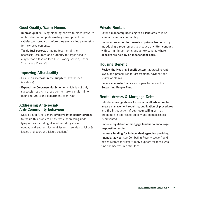#### **Good Quality, Warm Homes**

- · **Improve quality**, using planning powers to place pressure on builders to complete existing developments to satisfactory standards before they are granted permission for new developments.
- · **Tackle fuel poverty**, bringing together all the necessary resources and authority to target need in a systematic fashion [see Fuel Poverty section, under 'Combating Poverty'].

#### **Improving Affordability**

- · Ensure an **increase in the supply** of new houses (as above).
- · **Expand the Co-ownership Scheme**, which is not only successful but is in a position to make a multi-million pound return to the department each year!

#### **Addressing Anti-social/ Anti-Community behaviour**

· Develop and fund a more **effective inter-agency strategy** to tackle this problem at its roots, addressing underlying issues including alcohol and drug abuse, educational and employment issues. [see also policing & justice and sport and leisure sections]

#### **Private Rentals**

- · **Extend mandatory licensing to all landlords** to raise standards and accountability.
- · Improve **protection for tenants of private landlords**, by introducing a requirement to produce a **written contract** with set minimum terms and a new scheme where **deposits are held by an independent body**.

#### **Housing Benefit**

- · **Review the Housing Benefit system**, addressing rent levels and procedures for assessment, payment and review of claims.
- · Secure **adequate finance** each year to deliver the **Supporting People Fund**.

#### **Rental Arrears & Mortgage Debt**

- · Introduce **new guidance for social landlords on rental arrears management** requiring **publication of procedures** and the introduction of **debt counselling** so that problems are addressed quickly and homelessness is prevented.
- · Improve **regulation of mortgage lenders** to encourage responsible lending.
- · **Increase funding for independent agencies providing financial advice** (see Combating Poverty section) and devise system to trigger timely support for those who find themselves in difficulties.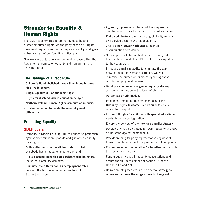## Stronger for Equality & Human Rights

The SDLP is committed to promoting equality and protecting human rights. As the party of the civil rights movement, equality and human rights are not just slogans – they are part of our founding philosophy.

Now we want to take forward our work to ensure that the Agreement's promise on equality and human rights is delivered for all.

#### **The Damage of Direct Rule**

- **· Children's Fund abolished even though one in three kids live in poverty.**
- **· Single Equality Bill on the long finger.**
- **· Rights for disabled kids in education delayed.**
- **· Northern Ireland Human Rights Commission in crisis.**
- **· Go slow on action to tackle the unemployment differential.**

#### **Promoting Equality**

#### **SDLP goals:**

- · Introduce a **Single Equality Bill**, to harmonise protection against discrimination upwards and guarantee equality for all groups.
- · **Outlaw discrimination in all land sales**, so that everybody has an equal chance to buy land.
- · Impose **tougher penalties on persistent discriminators**, including exemplary damages.
- · **Eliminate the differential in unemployment rates** between the two main communities by 2011. See further below.
- · **Vigorously oppose any dilution of fair employment** monitoring – it is a vital protection against sectarianism.
- · **End discriminatory rules** restricting eligibility for key civil service posts to UK nationals only.
- · Create **a new Equality Tribunal** to hear all discrimination complaints.
- · Oppose proposals to put Justice and Equality into the one department. The SDLP will not give equality to the securocrats.
- · Introduce **equal pay audits** to eliminate the gap between men and women's earnings. We will minimise the burden on business by timing these with fair employment reviews.
- · Develop a **comprehensive gender equality strategy**, addressing in particular the issue of childcare.
- · **Outlaw age discrimination.**
- · Implement remaining recommendations of the **Disability Rights Taskforce**, in particular to ensure access to transport.
- · Ensure **full rights for children with special educational needs** through new legislation.
- · Ensure the delivery of the new **race equality strategy**.
- · Develop a joined up strategy for **LGBT equality** and take a firm stand against homophobia.
- · Provide training for party representatives against all forms of intolerance, including racism and homophobia.
- · Ensure **proper accommodation for travellers** in line with their established needs.
- · Fund groups involved in equality consultations and ensure the full development of section 75 of the Northern Ireland Act.
- · Deliver an integrated cross-departmental strategy to **review and address the range of needs of migrant**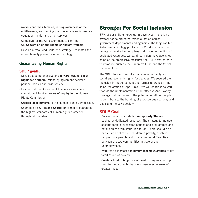**workers** and their families, raising awareness of their entitlements, and helping them to access social welfare, education, health and other services.

- · Campaign for the UK government to sign the **UN Convention on the Rights of Migrant Workers**.
- · Develop a resourced Children's strategy to match the internationally praised southern strategy.

#### **Guaranteeing Human Rights**

#### **SDLP goals:**

- · Develop a comprehensive and **forward-looking Bill of Rights** for Northern Ireland by agreement between political parties and civic society.
- · Ensure that the Government honours its welcome commitment to give **powers of inquiry** to the Human Rights Commission.
- · **Credible appointments** to the Human Rights Commission.
- · Champion an **All-Ireland Charter of Rights** to guarantee the highest standards of human rights protection throughout the island.

## Stronger For Social Inclusion

37% of our children grow up in poverty yet there is no strategy for co-ordinated remedial action across government departments and agencies. The long-awaited Anti-Poverty Strategy published in 2004 contained no targets or detailed action plans and made no mention of dedicated resources. Worse, direct rulers have abolished some of the progressive measures the SDLP worked hard to introduce such as the Children's Fund and the Social Inclusion Fund.

The SDLP has successfully championed equality and social and economic rights for decades. We secured their inclusion in the Agreement and further reference in the Joint Declaration of April 2003. We will continue to work towards the implementation of an effective Anti-Poverty Strategy that can unleash the potential of all our people to contribute to the building of a prosperous economy and a fair and inclusive society.

#### **SDLP Goals:**

- · Develop urgently a detailed **Anti-poverty Strategy**, backed by dedicated resources. The strategy to include specific targets, suggested actions and programmes and details on the Ministerial led forum. There should be a particular emphasis on children in poverty, disabled people, lone parents and on eliminating differentials between the two communities in poverty and unemployment.
- · Work for an increased **minimum income guarantee** to lift families out of poverty.
- · **Create a fund to target social need**, acting as a top-up fund for departments that skew resources to areas of greatest need.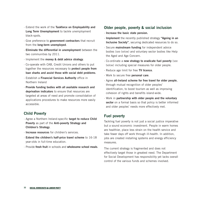- · Extend the work of the **Taskforce on Employability and Long Term Unemployment** to tackle unemployment black-spots.
- · Give preference to **government contractors** that recruit from the **long-term unemployed**.
- · **Eliminate the differential in unemployment** between the two communities by 2011.
- · Implement the **money & debt advice strategy**.
- · Co-operate with CAB, Credit Unions and others to put together the resources necessary to **protect people from loan sharks and assist those with social debt problems**.
- · Establish a **Financial Services Authority** office in Northern Ireland
- · **Provide funding bodies with all available research and deprivation indicators** to ensure that resources are targeted at areas of need and promote consolidation of applications procedures to make resources more easily accessible.

#### **Child Poverty**

- · Agree a Northern Ireland-specific **target to reduce Child Poverty** as part of the **Anti-poverty Strategy and Children's Strategy**.
- · **Increase resources** for children's services.
- · **Extend the children's half-price travel scheme** to 16-18 year-olds in full-time education.
- · Provide **fresh fruit** in schools and **wholesome school meals**.

#### **Older people, poverty & social inclusion**

- · **Increase the basic state pension.**
- · **Implement** the recently published strategy **"Ageing in an Inclusive Society"**, securing dedicated resources to do so.
- · Secure **mainstream funding** for independent advice bodies (see below) and voluntary sector bodies like Help the Aged and Age Concern.
- · Co-ordinate a **new strategy to eradicate fuel poverty** (see below) including special measures for older people.
- · Reduce age limit for free **TV licence**.
- · Work to secure free **personal care**.
- · Agree **all-Ireland scheme for free travel for older people**, through mutual recognition of older peoples' identification, to boost tourism as well as improving cohesion of rights and benefits island-wide.
- · Work in **partnership with older people and the voluntary sector** on a formal basis so that policy is better informed and older peoples' needs more effectively met.

#### **Fuel poverty**

Tackling fuel poverty is not just a social justice imperative but a sound economic investment. People in warm homes are healthier, place less strain on the health service and take fewer days off work through ill-health. In addition, jobs are created installing systems and energy efficiency measures.

The current strategy is fragmented and does not effectively target those in greatest need. The Department for Social Development has responsibility yet lacks overall control of the various funds and schemes involved.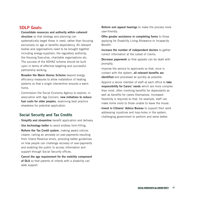#### **SDLP Goals:**

- · **Consolidate resources and authority within coherent structure** so that strategy and planning can systematically target those in need, rather than focusing exclusively on age or benefits dependency. All relevant bodies and organisations need to be brought together including energy-suppliers, the regulatory authority, the Housing Executive, charitable organisations etc. The success of the ADHAZ scheme should be built upon in terms of effective targeting and successful partnership working.
- · **Broaden the Warm Homes Scheme** beyond energy efficiency measures to allow installation of heating systems so that a single intervention ensures a warm home.
- · Commission the Social Economy Agency to explore, in association with Age Concern, **new initiatives to reduce fuel costs for older peoples**, examining best practice elsewhere for potential application.

#### **Social Security and Tax Credits**

- · **Simplify and streamline** benefit application and delivery.
- · **Use technology better** to avoid endless form-filling.
- · **Reform the Tax Credit system**, making award notices clearer, calling an amnesty on over-payments resulting from Inland Revenue errors, providing better guidelines on how people can challenge recovery of over-payments and enabling the public to access information and support through Social Security offices.
- · **Cancel the age requirement for the mobility component of DLA** so that parents of infants with a disability can seek support.
- · **Reform oral appeal hearings** to make the process more user-friendly.
- · **Offer greater assistance in completing forms** to those applying for Disability Living Allowance or Incapacity Benefit.
- · **Increase the number of independent doctors** to gather correct information at the outset of claims.
- · **Decrease paperwork** so that appeals can be dealt with promptly.
- · Improve the service to applicants so that, once in contact with the system, **all relevant benefits are identified** and processed as quickly as possible.
- · Appoint a senior member of staff at each office to **take responsibility for Carers' needs** which are more complex than most, often involving benefits for dependants as well as benefits for carers themselves. Increased flexibility is required so that, for example, staff can make home visits to those unable to leave the house.
- · **Invest in Citizens' Advice Bureau** to support their work addressing injustices and loop-holes in the system, challenging government to perform and serve better.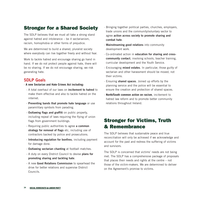## Stronger for a Shared Society

The SDLP believes that we must all take a strong stand against hatred and intolerance – be it sectarianism, racism, homophobia or other forms of prejudice.

We are determined to build a shared, pluralist society where everybody can live together freely and without fear.

Work to tackle hatred and encourage sharing go hand in hand. If we do not protect people against hate, there will be no sharing. If we do not encourage sharing, we risk generating hate.

#### **SDLP Goals**

- · **A new Sectarian and Hate Crimes Act including:**
	- A total overhaul of our laws on **incitement to hatred** to make them effective and also to tackle hatred on the internet.
	- **Preventing bands that promote hate language** or use paramilitary symbols from parading.
	- **Outlawing flags and graffiti** on public property, including repeal of laws requiring the flying of union flags from government buildings.
	- Requiring public authorities to agree **a common strategy for removal of flags** etc, including use of contractors backed by police and prosecutions.
	- **Introducing regulation for bonfires**, including payment for damage done.
	- **Outlawing sectarian chanting** at football matches.
	- A duty on every District Council to devise **plans for promoting sharing and tackling hate**.
	- A new **Good Relations Commission** to spearhead the drive for better relations and supervise District Councils.
- · Bringing together political parties, churches, employers, trade unions and the community/voluntary sector to agree **action across society to promote sharing and combat hate**.
- · **Mainstreaming good relations** into community development work.
- · Co-ordinated action in **education for sharing and crosscommunity contact**, involving schools, teacher training, curricular development and the Youth Service.
- · Encouraging **mixed estates**. In particular, those guilty of sectarian and other harassment should be moved, not their victims.
- · Ensuring **shared spaces**. Joined up efforts by the planning service and the police will be essential to ensure the creation and protection of shared spaces.
- · **North/South common action on racism**, incitement to hatred law reform and to promote better community relations throughout Ireland.

## Stronger for Victims, Truth & Remembrance

The SDLP believes that sustainable peace and true reconciliation will only be achieved if we acknowledge and account for the past and redress the suffering of victims and survivors.

The SDLP is concerned that victims' needs are not being met. The SDLP has a comprehensive package of proposals that places their needs and rights at the centre – not those of the victim-makers. We are determined to deliver on the Agreement's promise to victims.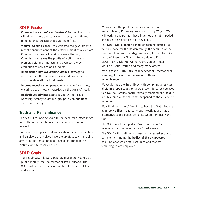#### **SDLP Goals:**

- · **Convene the Victims' and Survivors' Forum**. The Forum will allow victims and survivors to design a truth and remembrance process that puts them first.
- · **Victims' Commissioner** we welcome the government's recent announcement of the establishment of a Victims' Commissioner. We will work to ensure that any Commissioner raises the profile of victims' needs, promotes victims' interests and oversees the coordination of services and funding.
- · **Implement a new overarching victims' strategy** to increase the effectiveness of service delivery and to accommodate all practical needs.
- · **Improve monetary compensation** available for victims, ensuring decent levels, awarded on the basis of need.
- · **Redistribute criminal assets** seized by the Assets Recovery Agency to victims' groups, as an **additional** source of funding.

#### **Truth and Remembrance**

The SDLP has long believed in the need for a mechanism for truth and remembrance for our society to move forward.

Below is our proposal. But we are determined that victims and survivors themselves have the greatest say in shaping any truth and remembrance mechanism through the Victims' and Survivors' Forum.

#### **SDLP Goals:**

· Tony Blair gave his word publicly that there would be a public inquiry into the murder of Pat Finucane. The SDLP will keep the pressure on him to do so – at home and abroad.

- · We welcome the public inquiries into the murder of Robert Hamill, Rosemary Nelson and Billy Wright. We will work to ensure that these inquiries are not impeded and have the resources that they need.
- · The **SDLP will support all families seeking justice** as we have done for the Conlon family, the families of the Guildford Four and the Maguire Seven, for families like those of Rosemary Nelson, Robert Hamill, Robert McCartney, David McIlwaine, Gerry Conlon, Peter McBride, Colin Worton and many many others.
- · We suggest a **Truth Body**, of independent, international standing, to direct the process of truth and remembrance.
- · We would task the Truth Body with compiling a **register of victims**, open to all, to allow those injured or bereaved to have their stories heard, formally recorded and held in a public archive so that what happened to them is never forgotten.
- · We will allow victims' families to have the Truth Body **reopen police files** – and carry out investigations – as an alternative to the police doing so, where families want this.
- · The SDLP would support a **'Day of Reflection'** in recognition and remembrance of past events.
- · The SDLP will continue to press for increased action to be taken on finding the **bodies of the disappeared**, ensuring adequate time, resources and modern technologies are employed.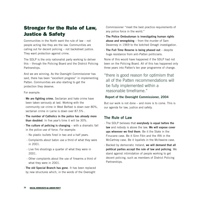## Stronger for the Rule of Law, Justice & Safety

Communities in the North want the rule of law – not people acting like they are the law. Communities are calling out for decent policing – not backstreet justice. They want protection against crime.

The SDLP is the only nationalist party working to deliver this – through the Policing Board and the District Policing Partnerships.

And we are winning. As the Oversight Commissioner has said, there has been "excellent progress" in implementing Patten. Communities are also starting to get the protection they deserve.

For example:

- · **We are fighting crime.** Sectarian and hate crime have been taken seriously at last. Working with the community car crime in West Belfast is down over 80%, sectarian crime in Larne is down over 87.5% .
- · **The number of Catholics in the police has already more than doubled**. In five year's time it will be 30%.
- · **The culture of policing is changing** with a dramatic fall in the police use of force. For example:
	- No plastic bullets fired in two and a half years.
	- Complaints about baton use a third of what they were in 2001.
	- Live fire shootings a quarter of what they were in 2001.
	- Other complaints about the use of firearms a third of what they were in 2001.
- · **The old Special Branch has gone**. It has been replaced by new structures which, in the words of the Oversight

Commissioner "meet the best practice requirements of any police force in the world."

- · **The Police Ombudsman is investigating human rights abuse and wrongdoing** – from the murder of Sam Devenney in 1969 to the botched Omagh investigation.
- · **The Full Time Reserve is being phased out** despite huge resistance from anti-Patten politicians.

None of this would have happened if the SDLP had not been on the Policing Board. All of this has happened only three years into Patten's ten year programme of change.

"there is good reason for optimism that all of the Patten recommendations will be fully implemented within a reasonable timeframe."

#### **Report of the Oversight Commissioner, 2004**

But our work is not done – and more is to come. This is our agenda for law, justice and safety.

#### **The Rule of Law**

- · The SDLP believes that **everybody is equal before the law** and nobody is above the law. **We will expose cover ups wherever we find them**. Be it the State in the Finucane case. Be it Sinn Féin and the IRA in the McCartney case. Be it loyalists in the McIlwaine case.
- · Backed by democratic Ireland, **we will demand that all political parties accept the rule of law and policing**. We stand against intimidation of people working to get decent policing, such as members of District Policing Partnerships.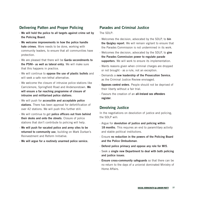#### **Delivering Patten and Proper Policing**

- · **We will hold the police to all targets against crime set by the Policing Board**.
- · **We welcome improvements in how the police handle hate crimes**. More needs to be done, working with community leaders, to ensure that all communities have protection.
- · We are pleased that there will be **Garda secondments to the PSNI– as well as lateral entry**. We will make sure that this happens in practice.
- · We will continue to **oppose the use of plastic bullets** and will seek a safe non-lethal alternative.
- · We welcome the closure of intrusive police stations like Carrickmore, Springfield Road and Andersonstown. **We will ensure a far reaching programme of closure of intrusive and militarised police stations**.
- · We will push for **accessible and acceptable police stations**. There has been approval for defortification of over 42 stations. We will push this further still.
- · We will continue to get **police officers out from behind their desks and onto the streets**. Closure of police stations that don't contribute to policing will help.
- · **We will push for vacated police and army sites to be returned to community use**, building on Mark Durkan's Reinvestment and Reform Initiative.
- · **We will argue for a routinely unarmed police service.**

#### **Parades and Criminal Justice**

The SDLP:

- · Welcomes the decision, advocated by the SDLP, to **bin the Quigley report**. We will remain vigilant to ensure that the Parades Commission is not undermined in its work.
- · Welcomes the decision, advocated by the SDLP, to **give the Parades Commission power to regulate parade supporters**. We will work to ensure its implementation.
- · Wants reasons given when criminal charges are dropped or not brought - as a rule, not an exception.
- · Demands a **new leadership of the Prosecution Service**, as the Criminal Justice Review envisaged.
- · **Opposes control orders**. People should not be deprived of their liberty without a fair trial.
- · Favours the creation of an **all-Ireland sex offenders register**.

#### **Devolving Justice**

In the negotiations on devolution of justice and policing, the SDLP will:

- · Argue for **devolution of justice and policing within** 18 months. This requires an end to paramilitary activity and stable political institutions.
- · Ensure **no reduction in the powers of the Policing Board and the Police Ombudsman**.
- · **Defend police primacy and oppose any role for MI5**.
- · Seek a **single new Department to deal with both policing and justice issues**.
- · **Ensure cross-community safeguards** so that there can be no return to the days of a unionist dominated Ministry of Home Affairs.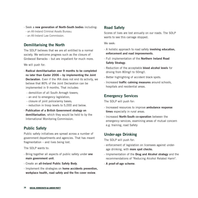- · Seek a **new generation of North-South bodies** including:
- an All-Ireland Criminal Assets Bureau;
- an All-Ireland Law Commission.

#### **Demilitarising the North**

The SDLP believes that we are all entitled to a normal society. We welcome progress such as the closure of Girdwood Barracks – but are impatient for much more.

We will push for:

- · **Radical demilitarisation over 9 months to be completed no later than Easter 2006 – by implementing the Joint Declaration**. Even if the IRA does not end its activity, we believe that 80% of the Joint Declaration can be implemented in 9 months. That includes:
	- demolition of all South Armagh towers;
	- an end to emergency legislation;
	- closure of joint police/army bases;
	- reduction in troop levels to 5,000 and below.
- · **Publication of a British Government strategy on demilitarisation**, which they would be held to by the International Monitoring Commission.

#### **Public Safety**

Public safety initiatives are spread across a number of government departments and agencies. That has meant fragmentation – and lives being lost.

The SDLP wants to:

- · Bring together all aspects of public safety under **one main government unit**.
- · Create an **all-Ireland Public Safety Body**.
- · Implement the strategies on **home accidents prevention, workplace health, road safety and the fire cover review**.

#### **Road Safety**

Scores of lives are lost annually on our roads. The SDLP wants to see this carnage stopped.

We seek:

- · A holistic approach to road safety **involving education, enforcement and road improvements**.
- · Full implementation of the **Northern Ireland Road Safety Strategy**.
- · Reduction of the acceptable **blood alcohol levels** for driving from 80mg/l to 50mg/l.
- · Better highlighting of accident black spots.
- · Increased **traffic calming measures** around schools, hospitals and residential areas.

#### **Emergency Services**

The SDLP will push for:

- · Increased resources to improve **ambulance response times** especially in rural areas.
- · Increased **North-South co-operation** between the emergency services, examining areas of mutual concern e.g. training, road Safety

#### **Under-age Drinking**

The SDLP will push for:

- · enforcement of legislation on licensees against underage drinking, with **more spot checks**.
- · Implementation of the **Drug and Alcohol strategy** and the recommendations of "Reducing Alcohol Related Harm".
- · **A proof-of-age scheme**.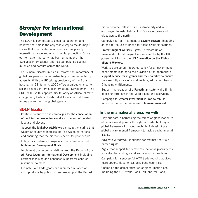## Stronger for International Development

The SDLP is committed to global co-operation and believes that this is the only viable way to tackle major issues that cross state boundaries such as poverty, international trade and environmental protection. Since our formation the party has been a member of the 'Socialist International' and has campaigned against injustice and conflict across the world.

The Tsunami disaster in Asia illustrates the importance of global co-operation in reconstructing communities hit by adversity. With the UK taking presidency of the EU and hosting the G8 Summit, 2005 offers a unique chance to set the agenda in terms of International Development. The SDLP will use this opportunity to lobby on Africa, climate change, aid, trade and debt relief to ensure that these issues are kept on the global agenda.

#### **SDLP Goals:**

- · Continue to support the campaigns for the **cancellation of debt in the developing world** and the end of bonded labour and slavery.
- · Support the **MakePovertyHistory** campaign, ensuring that wealthier countries increase aid to developing nations and ensuring that the aid works better for poor people.
- · Lobby for accelerated progress in the achievement of **Millennium Development Goals**.
- · Implement the recommendations from the Report of the **All-Party Group on International Development** including awareness raising and enhanced support for conflict resolution overseas.
- · Promote **Fair Trade** goods and increased reliance on such products by public bodies. We support the Belfast

bid to become Ireland's first Fairtrade city and will encourage the establishment of Fairtrade towns and cities across the north.

- · Campaign for fair treatment of **asylum seekers**, including an end to the use of prison for those awaiting hearings.
- · **Protect migrant workers'** rights promote union membership for all migrant workers and lobby the UK government to sign the **UN Convention on the Rights of Migrant Workers**.
- · Work to develop an integrated policy for all government departments leading to the provision of an appropriate **support service for migrants and their families** to ensure they are fully aware of social welfare, education, health & housing entitlements.
- · Support the creation of a **Palestinian state**, while firmly opposing terrorism in the Middle East and elsewhere.
- · Campaign for **greater investment in Iraq** to rebuild infrastructure and an increase in **humanitarian aid**.

#### **In the international arena, we will:**

- · Play our part in harnessing the forces of globalisation to eliminate world poverty through fair trade, building a global framework for labour mobility & developing a global environmental framework to tackle environmental issues.
- · Advocate withdrawal of support for regimes that flout human rights.
- · Argue that support for democratic national governments is central to tackling social and economic problems.
- · Campaign for a successful WTO trade round that gives more opportunities to less developed countries.
- · Champion the democratisation of global institutions including the UN, World Bank, IMF and WTO and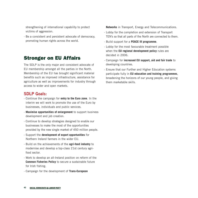strengthening of international capability to protect victims of aggression.

· Be a consistent and persistent advocate of democracy, promoting human rights across the world.

### Stronger on EU Affairs

The SDLP is the only major and consistent advocate of EU membership amongst all the parties in the North. Membership of the EU has brought significant material benefits such as improved infrastructure, assistance for agriculture as well as improvements for industry through access to wider and open markets.

#### **SDLP Goals:**

- · Continue the campaign for **entry to the Euro zone**. In the interim we will work to promote the use of the Euro by businesses, individuals and public services.
- · **Maximise opportunities of enlargement** to support business development and job creation.
- · Continue to develop strategies designed to enable our businesses to make the most of the opportunities provided by the new single market of 450 million people.
- · Support the **development of export opportunities** for Northern Ireland farmers in the wider EU.
- · Build on the achievements of the **agri-food industry** to modernise and develop a top-class 21st century agrifood sector.
- · Work to develop an all-Ireland position on reform of the **Common Fisheries Policy** to secure a sustainable future for Irish fishing.
- · Campaign for the development of **Trans-European**

**Networks** in Transport, Energy and Telecommunications.

- · Lobby for the completion and extension of Transport TEN's so that all parts of the North are connected to them.
- · Build support for a **PEACE III programme**.
- · Lobby for the most favourable treatment possible when the **EU regional development policy** rules are decided in 2006.
- · Campaign for **increased EU support, aid and fair trade** to developing countries.
- · Ensure that our Further and Higher Education systems participate fully in **EU education and training programmes**, broadening the horizons of our young people, and giving them marketable skills.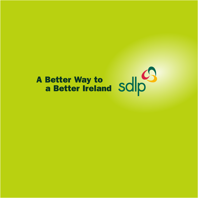